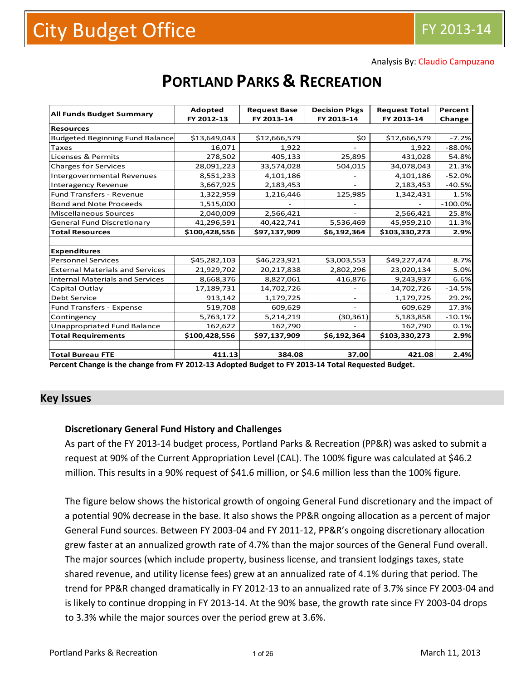Analysis By: Claudio Campuzano

| <b>All Funds Budget Summary</b>        | <b>Adopted</b> | <b>Request Base</b> | <b>Decision Pkgs</b> | <b>Request Total</b> | Percent   |
|----------------------------------------|----------------|---------------------|----------------------|----------------------|-----------|
|                                        | FY 2012-13     | FY 2013-14          | FY 2013-14           | FY 2013-14           | Change    |
| <b>Resources</b>                       |                |                     |                      |                      |           |
| <b>Budgeted Beginning Fund Balance</b> | \$13,649,043   | \$12,666,579        | \$0                  | \$12,666,579         | $-7.2%$   |
| Taxes                                  | 16,071         | 1,922               |                      | 1,922                | $-88.0%$  |
| <b>Licenses &amp; Permits</b>          | 278,502        | 405,133             | 25,895               | 431,028              | 54.8%     |
| <b>Charges for Services</b>            | 28,091,223     | 33,574,028          | 504,015              | 34,078,043           | 21.3%     |
| <b>Intergovernmental Revenues</b>      | 8,551,233      | 4,101,186           |                      | 4,101,186            | $-52.0%$  |
| <b>Interagency Revenue</b>             | 3,667,925      | 2,183,453           |                      | 2,183,453            | $-40.5%$  |
| <b>Fund Transfers - Revenue</b>        | 1,322,959      | 1,216,446           | 125,985              | 1,342,431            | 1.5%      |
| <b>Bond and Note Proceeds</b>          | 1,515,000      |                     |                      |                      | $-100.0%$ |
| <b>Miscellaneous Sources</b>           | 2,040,009      | 2,566,421           |                      | 2,566,421            | 25.8%     |
| <b>General Fund Discretionary</b>      | 41,296,591     | 40,422,741          | 5,536,469            | 45,959,210           | 11.3%     |
| <b>Total Resources</b>                 | \$100,428,556  | \$97,137,909        | \$6,192,364          | \$103,330,273        | 2.9%      |
|                                        |                |                     |                      |                      |           |
| <b>Expenditures</b>                    |                |                     |                      |                      |           |
| <b>Personnel Services</b>              | \$45,282,103   | \$46,223,921        | \$3,003,553          | \$49,227,474         | 8.7%      |
| <b>External Materials and Services</b> | 21,929,702     | 20,217,838          | 2,802,296            | 23,020,134           | 5.0%      |
| <b>Internal Materials and Services</b> | 8,668,376      | 8,827,061           | 416,876              | 9,243,937            | 6.6%      |
| Capital Outlay                         | 17,189,731     | 14,702,726          |                      | 14,702,726           | $-14.5%$  |
| Debt Service                           | 913,142        | 1,179,725           |                      | 1,179,725            | 29.2%     |
| <b>Fund Transfers - Expense</b>        | 519,708        | 609,629             |                      | 609,629              | 17.3%     |
| Contingency                            | 5,763,172      | 5,214,219           | (30,361)             | 5,183,858            | $-10.1%$  |
| Unappropriated Fund Balance            | 162,622        | 162,790             |                      | 162,790              | 0.1%      |
| <b>Total Requirements</b>              | \$100,428,556  | \$97,137,909        | \$6,192,364          | \$103,330,273        | 2.9%      |
|                                        |                |                     |                      |                      |           |
| <b>Total Bureau FTE</b>                | 411.13         | 384.08              | 37.00                | 421.08               | 2.4%      |

# **PORTLAND PARKS & RECREATION**

Percent Change is the change from FY 2012-13 Adopted Budget to FY 2013-14 Total Requested Budget.

#### **Key Issues**

#### **Discretionary General Fund History and Challenges**

As part of the FY 2013‐14 budget process, Portland Parks & Recreation (PP&R) was asked to submit a request at 90% of the Current Appropriation Level (CAL). The 100% figure was calculated at \$46.2 million. This results in a 90% request of \$41.6 million, or \$4.6 million less than the 100% figure.

The figure below shows the historical growth of ongoing General Fund discretionary and the impact of a potential 90% decrease in the base. It also shows the PP&R ongoing allocation as a percent of major General Fund sources. Between FY 2003‐04 and FY 2011‐12, PP&R's ongoing discretionary allocation grew faster at an annualized growth rate of 4.7% than the major sources of the General Fund overall. The major sources (which include property, business license, and transient lodgings taxes, state shared revenue, and utility license fees) grew at an annualized rate of 4.1% during that period. The trend for PP&R changed dramatically in FY 2012‐13 to an annualized rate of 3.7% since FY 2003‐04 and is likely to continue dropping in FY 2013‐14. At the 90% base, the growth rate since FY 2003‐04 drops to 3.3% while the major sources over the period grew at 3.6%.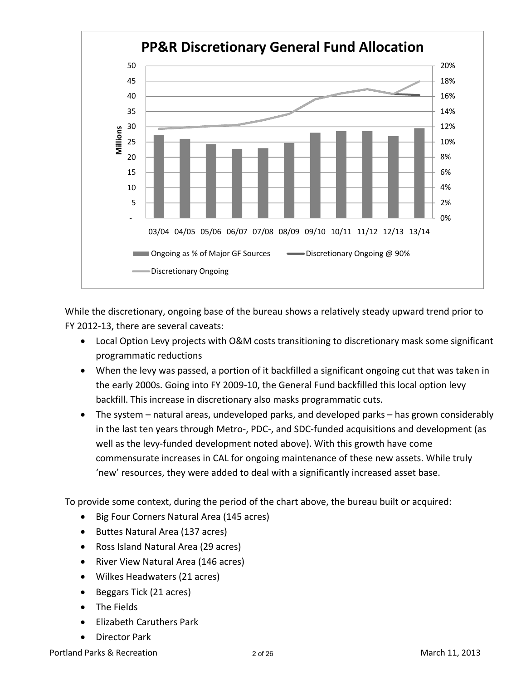

While the discretionary, ongoing base of the bureau shows a relatively steady upward trend prior to FY 2012‐13, there are several caveats:

- Local Option Levy projects with O&M costs transitioning to discretionary mask some significant programmatic reductions
- When the levy was passed, a portion of it backfilled a significant ongoing cut that was taken in the early 2000s. Going into FY 2009‐10, the General Fund backfilled this local option levy backfill. This increase in discretionary also masks programmatic cuts.
- The system natural areas, undeveloped parks, and developed parks has grown considerably in the last ten years through Metro‐, PDC‐, and SDC‐funded acquisitions and development (as well as the levy-funded development noted above). With this growth have come commensurate increases in CAL for ongoing maintenance of these new assets. While truly 'new' resources, they were added to deal with a significantly increased asset base.

To provide some context, during the period of the chart above, the bureau built or acquired:

- Big Four Corners Natural Area (145 acres)
- Buttes Natural Area (137 acres)
- Ross Island Natural Area (29 acres)
- River View Natural Area (146 acres)
- Wilkes Headwaters (21 acres)
- Beggars Tick (21 acres)
- The Fields
- Elizabeth Caruthers Park
- Director Park

Portland Parks & Recreation March 11, 2013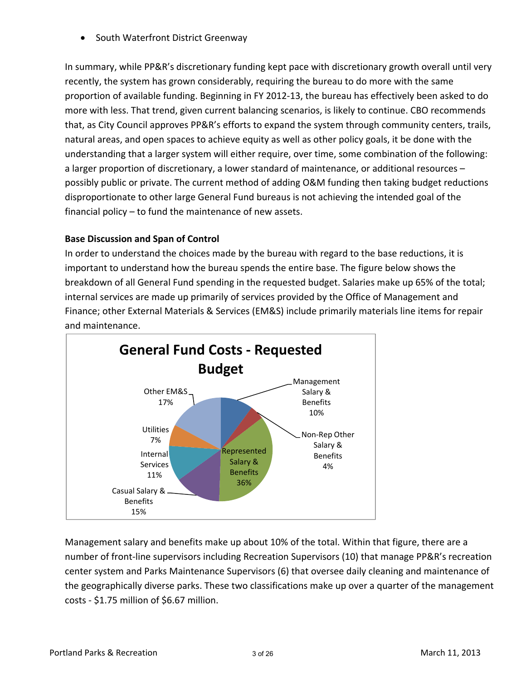South Waterfront District Greenway

In summary, while PP&R's discretionary funding kept pace with discretionary growth overall until very recently, the system has grown considerably, requiring the bureau to do more with the same proportion of available funding. Beginning in FY 2012‐13, the bureau has effectively been asked to do more with less. That trend, given current balancing scenarios, is likely to continue. CBO recommends that, as City Council approves PP&R's efforts to expand the system through community centers, trails, natural areas, and open spaces to achieve equity as well as other policy goals, it be done with the understanding that a larger system will either require, over time, some combination of the following: a larger proportion of discretionary, a lower standard of maintenance, or additional resources – possibly public or private. The current method of adding O&M funding then taking budget reductions disproportionate to other large General Fund bureaus is not achieving the intended goal of the financial policy – to fund the maintenance of new assets.

## **Base Discussion and Span of Control**

In order to understand the choices made by the bureau with regard to the base reductions, it is important to understand how the bureau spends the entire base. The figure below shows the breakdown of all General Fund spending in the requested budget. Salaries make up 65% of the total; internal services are made up primarily of services provided by the Office of Management and Finance; other External Materials & Services (EM&S) include primarily materials line items for repair and maintenance.



Management salary and benefits make up about 10% of the total. Within that figure, there are a number of front‐line supervisors including Recreation Supervisors (10) that manage PP&R's recreation center system and Parks Maintenance Supervisors (6) that oversee daily cleaning and maintenance of the geographically diverse parks. These two classifications make up over a quarter of the management costs ‐ \$1.75 million of \$6.67 million.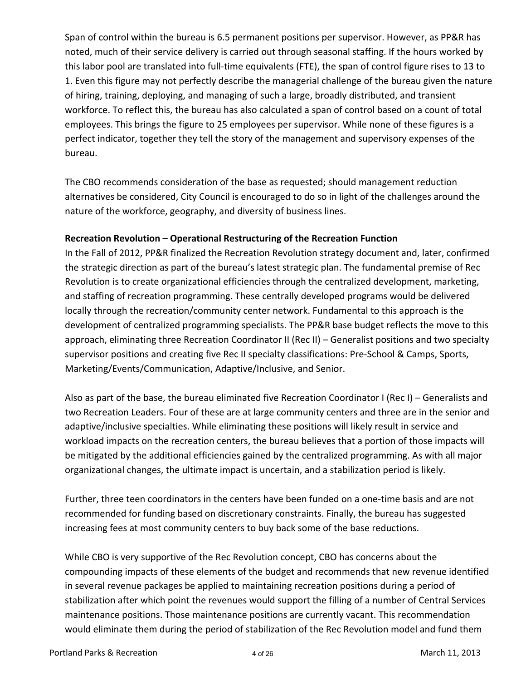Span of control within the bureau is 6.5 permanent positions per supervisor. However, as PP&R has noted, much of their service delivery is carried out through seasonal staffing. If the hours worked by this labor pool are translated into full‐time equivalents (FTE), the span of control figure rises to 13 to 1. Even this figure may not perfectly describe the managerial challenge of the bureau given the nature of hiring, training, deploying, and managing of such a large, broadly distributed, and transient workforce. To reflect this, the bureau has also calculated a span of control based on a count of total employees. This brings the figure to 25 employees per supervisor. While none of these figures is a perfect indicator, together they tell the story of the management and supervisory expenses of the bureau.

The CBO recommends consideration of the base as requested; should management reduction alternatives be considered, City Council is encouraged to do so in light of the challenges around the nature of the workforce, geography, and diversity of business lines.

#### **Recreation Revolution – Operational Restructuring of the Recreation Function**

In the Fall of 2012, PP&R finalized the Recreation Revolution strategy document and, later, confirmed the strategic direction as part of the bureau's latest strategic plan. The fundamental premise of Rec Revolution is to create organizational efficiencies through the centralized development, marketing, and staffing of recreation programming. These centrally developed programs would be delivered locally through the recreation/community center network. Fundamental to this approach is the development of centralized programming specialists. The PP&R base budget reflects the move to this approach, eliminating three Recreation Coordinator II (Rec II) – Generalist positions and two specialty supervisor positions and creating five Rec II specialty classifications: Pre‐School & Camps, Sports, Marketing/Events/Communication, Adaptive/Inclusive, and Senior.

Also as part of the base, the bureau eliminated five Recreation Coordinator I (Rec I) – Generalists and two Recreation Leaders. Four of these are at large community centers and three are in the senior and adaptive/inclusive specialties. While eliminating these positions will likely result in service and workload impacts on the recreation centers, the bureau believes that a portion of those impacts will be mitigated by the additional efficiencies gained by the centralized programming. As with all major organizational changes, the ultimate impact is uncertain, and a stabilization period is likely.

Further, three teen coordinators in the centers have been funded on a one-time basis and are not recommended for funding based on discretionary constraints. Finally, the bureau has suggested increasing fees at most community centers to buy back some of the base reductions.

While CBO is very supportive of the Rec Revolution concept, CBO has concerns about the compounding impacts of these elements of the budget and recommends that new revenue identified in several revenue packages be applied to maintaining recreation positions during a period of stabilization after which point the revenues would support the filling of a number of Central Services maintenance positions. Those maintenance positions are currently vacant. This recommendation would eliminate them during the period of stabilization of the Rec Revolution model and fund them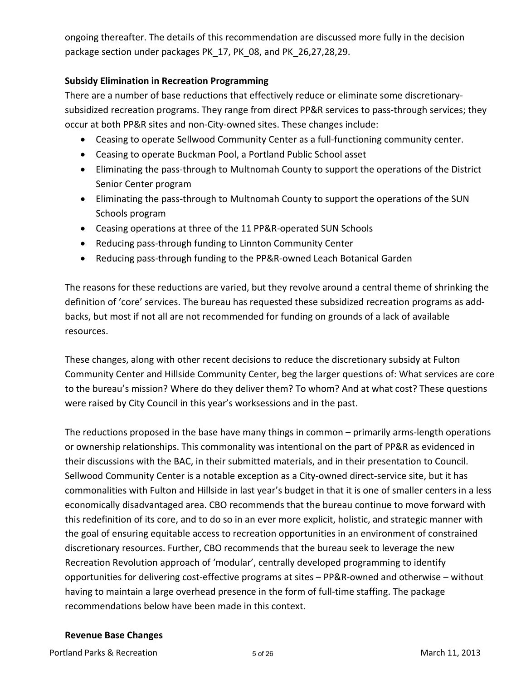ongoing thereafter. The details of this recommendation are discussed more fully in the decision package section under packages PK\_17, PK\_08, and PK\_26,27,28,29.

#### **Subsidy Elimination in Recreation Programming**

There are a number of base reductions that effectively reduce or eliminate some discretionary‐ subsidized recreation programs. They range from direct PP&R services to pass-through services; they occur at both PP&R sites and non‐City‐owned sites. These changes include:

- Ceasing to operate Sellwood Community Center as a full-functioning community center.
- Ceasing to operate Buckman Pool, a Portland Public School asset
- Eliminating the pass‐through to Multnomah County to support the operations of the District Senior Center program
- Eliminating the pass-through to Multnomah County to support the operations of the SUN Schools program
- Ceasing operations at three of the 11 PP&R‐operated SUN Schools
- Reducing pass-through funding to Linnton Community Center
- Reducing pass-through funding to the PP&R-owned Leach Botanical Garden

The reasons for these reductions are varied, but they revolve around a central theme of shrinking the definition of 'core' services. The bureau has requested these subsidized recreation programs as add‐ backs, but most if not all are not recommended for funding on grounds of a lack of available resources.

These changes, along with other recent decisions to reduce the discretionary subsidy at Fulton Community Center and Hillside Community Center, beg the larger questions of: What services are core to the bureau's mission? Where do they deliver them? To whom? And at what cost? These questions were raised by City Council in this year's worksessions and in the past.

The reductions proposed in the base have many things in common – primarily arms‐length operations or ownership relationships. This commonality was intentional on the part of PP&R as evidenced in their discussions with the BAC, in their submitted materials, and in their presentation to Council. Sellwood Community Center is a notable exception as a City‐owned direct‐service site, but it has commonalities with Fulton and Hillside in last year's budget in that it is one of smaller centers in a less economically disadvantaged area. CBO recommends that the bureau continue to move forward with this redefinition of its core, and to do so in an ever more explicit, holistic, and strategic manner with the goal of ensuring equitable access to recreation opportunities in an environment of constrained discretionary resources. Further, CBO recommends that the bureau seek to leverage the new Recreation Revolution approach of 'modular', centrally developed programming to identify opportunities for delivering cost‐effective programs at sites – PP&R‐owned and otherwise – without having to maintain a large overhead presence in the form of full-time staffing. The package recommendations below have been made in this context.

#### **Revenue Base Changes**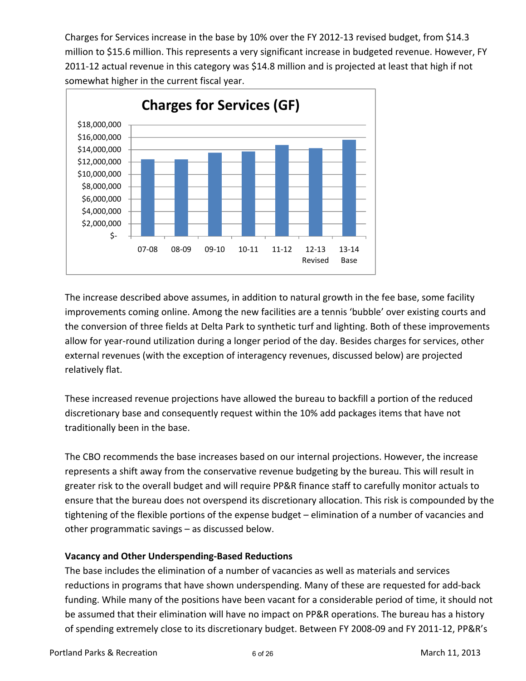Charges for Services increase in the base by 10% over the FY 2012‐13 revised budget, from \$14.3 million to \$15.6 million. This represents a very significant increase in budgeted revenue. However, FY 2011-12 actual revenue in this category was \$14.8 million and is projected at least that high if not somewhat higher in the current fiscal year.



The increase described above assumes, in addition to natural growth in the fee base, some facility improvements coming online. Among the new facilities are a tennis 'bubble' over existing courts and the conversion of three fields at Delta Park to synthetic turf and lighting. Both of these improvements allow for year‐round utilization during a longer period of the day. Besides charges for services, other external revenues (with the exception of interagency revenues, discussed below) are projected relatively flat.

These increased revenue projections have allowed the bureau to backfill a portion of the reduced discretionary base and consequently request within the 10% add packages items that have not traditionally been in the base.

The CBO recommends the base increases based on our internal projections. However, the increase represents a shift away from the conservative revenue budgeting by the bureau. This will result in greater risk to the overall budget and will require PP&R finance staff to carefully monitor actuals to ensure that the bureau does not overspend its discretionary allocation. This risk is compounded by the tightening of the flexible portions of the expense budget – elimination of a number of vacancies and other programmatic savings – as discussed below.

#### **Vacancy and Other Underspending‐Based Reductions**

The base includes the elimination of a number of vacancies as well as materials and services reductions in programs that have shown underspending. Many of these are requested for add‐back funding. While many of the positions have been vacant for a considerable period of time, it should not be assumed that their elimination will have no impact on PP&R operations. The bureau has a history of spending extremely close to its discretionary budget. Between FY 2008‐09 and FY 2011‐12, PP&R's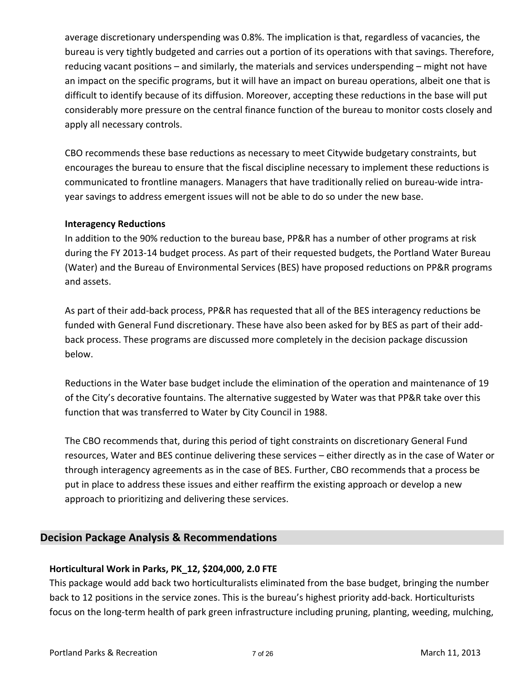average discretionary underspending was 0.8%. The implication is that, regardless of vacancies, the bureau is very tightly budgeted and carries out a portion of its operations with that savings. Therefore, reducing vacant positions – and similarly, the materials and services underspending – might not have an impact on the specific programs, but it will have an impact on bureau operations, albeit one that is difficult to identify because of its diffusion. Moreover, accepting these reductions in the base will put considerably more pressure on the central finance function of the bureau to monitor costs closely and apply all necessary controls.

CBO recommends these base reductions as necessary to meet Citywide budgetary constraints, but encourages the bureau to ensure that the fiscal discipline necessary to implement these reductions is communicated to frontline managers. Managers that have traditionally relied on bureau‐wide intra‐ year savings to address emergent issues will not be able to do so under the new base.

#### **Interagency Reductions**

In addition to the 90% reduction to the bureau base, PP&R has a number of other programs at risk during the FY 2013‐14 budget process. As part of their requested budgets, the Portland Water Bureau (Water) and the Bureau of Environmental Services (BES) have proposed reductions on PP&R programs and assets.

As part of their add‐back process, PP&R has requested that all of the BES interagency reductions be funded with General Fund discretionary. These have also been asked for by BES as part of their add‐ back process. These programs are discussed more completely in the decision package discussion below.

Reductions in the Water base budget include the elimination of the operation and maintenance of 19 of the City's decorative fountains. The alternative suggested by Water was that PP&R take over this function that was transferred to Water by City Council in 1988.

The CBO recommends that, during this period of tight constraints on discretionary General Fund resources, Water and BES continue delivering these services – either directly as in the case of Water or through interagency agreements as in the case of BES. Further, CBO recommends that a process be put in place to address these issues and either reaffirm the existing approach or develop a new approach to prioritizing and delivering these services.

# **Decision Package Analysis & Recommendations**

#### **Horticultural Work in Parks, PK\_12, \$204,000, 2.0 FTE**

This package would add back two horticulturalists eliminated from the base budget, bringing the number back to 12 positions in the service zones. This is the bureau's highest priority add-back. Horticulturists focus on the long-term health of park green infrastructure including pruning, planting, weeding, mulching,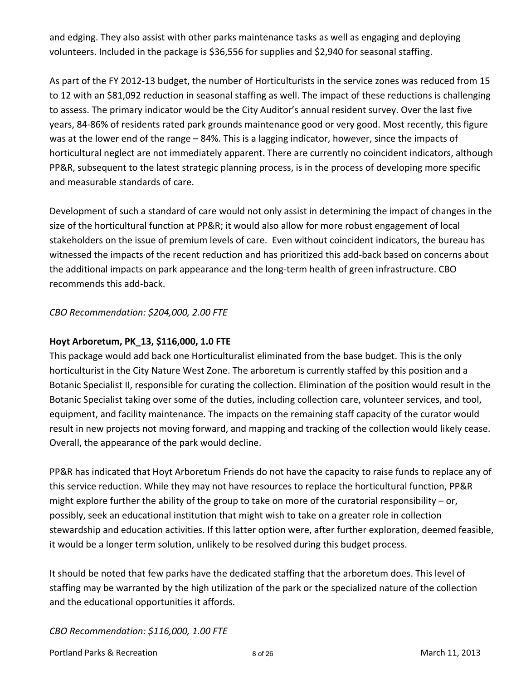and edging. They also assist with other parks maintenance tasks as well as engaging and deploying volunteers. Included in the package is \$36,556 for supplies and \$2,940 for seasonal staffing.

As part of the FY 2012‐13 budget, the number of Horticulturists in the service zones was reduced from 15 to 12 with an \$81,092 reduction in seasonal staffing as well. The impact of these reductions is challenging to assess. The primary indicator would be the City Auditor's annual resident survey. Over the last five years, 84‐86% of residents rated park grounds maintenance good or very good. Most recently, this figure was at the lower end of the range – 84%. This is a lagging indicator, however, since the impacts of horticultural neglect are not immediately apparent. There are currently no coincident indicators, although PP&R, subsequent to the latest strategic planning process, is in the process of developing more specific and measurable standards of care.

Development of such a standard of care would not only assist in determining the impact of changes in the size of the horticultural function at PP&R; it would also allow for more robust engagement of local stakeholders on the issue of premium levels of care. Even without coincident indicators, the bureau has witnessed the impacts of the recent reduction and has prioritized this add‐back based on concerns about the additional impacts on park appearance and the long‐term health of green infrastructure. CBO recommends this add‐back.

*CBO Recommendation: \$204,000, 2.00 FTE*

#### **Hoyt Arboretum, PK\_13, \$116,000, 1.0 FTE**

This package would add back one Horticulturalist eliminated from the base budget. This is the only horticulturist in the City Nature West Zone. The arboretum is currently staffed by this position and a Botanic Specialist II, responsible for curating the collection. Elimination of the position would result in the Botanic Specialist taking over some of the duties, including collection care, volunteer services, and tool, equipment, and facility maintenance. The impacts on the remaining staff capacity of the curator would result in new projects not moving forward, and mapping and tracking of the collection would likely cease. Overall, the appearance of the park would decline.

PP&R has indicated that Hoyt Arboretum Friends do not have the capacity to raise funds to replace any of this service reduction. While they may not have resources to replace the horticultural function, PP&R might explore further the ability of the group to take on more of the curatorial responsibility – or, possibly, seek an educational institution that might wish to take on a greater role in collection stewardship and education activities. If this latter option were, after further exploration, deemed feasible, it would be a longer term solution, unlikely to be resolved during this budget process.

It should be noted that few parks have the dedicated staffing that the arboretum does. This level of staffing may be warranted by the high utilization of the park or the specialized nature of the collection and the educational opportunities it affords.

*CBO Recommendation: \$116,000, 1.00 FTE*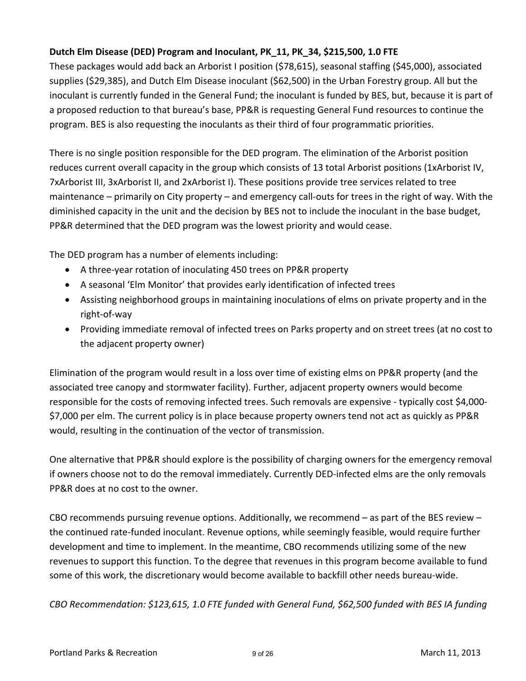# **Dutch Elm Disease (DED) Program and Inoculant, PK\_11, PK\_34, \$215,500, 1.0 FTE**

These packages would add back an Arborist I position (\$78,615), seasonal staffing (\$45,000), associated supplies (\$29,385), and Dutch Elm Disease inoculant (\$62,500) in the Urban Forestry group. All but the inoculant is currently funded in the General Fund; the inoculant is funded by BES, but, because it is part of a proposed reduction to that bureau's base, PP&R is requesting General Fund resources to continue the program. BES is also requesting the inoculants as their third of four programmatic priorities.

There is no single position responsible for the DED program. The elimination of the Arborist position reduces current overall capacity in the group which consists of 13 total Arborist positions (1xArborist IV, 7xArborist III, 3xArborist II, and 2xArborist I). These positions provide tree services related to tree maintenance – primarily on City property – and emergency call‐outs for trees in the right of way. With the diminished capacity in the unit and the decision by BES not to include the inoculant in the base budget, PP&R determined that the DED program was the lowest priority and would cease.

The DED program has a number of elements including:

- A three-year rotation of inoculating 450 trees on PP&R property
- A seasonal 'Elm Monitor' that provides early identification of infected trees
- Assisting neighborhood groups in maintaining inoculations of elms on private property and in the right‐of‐way
- Providing immediate removal of infected trees on Parks property and on street trees (at no cost to the adjacent property owner)

Elimination of the program would result in a loss over time of existing elms on PP&R property (and the associated tree canopy and stormwater facility). Further, adjacent property owners would become responsible for the costs of removing infected trees. Such removals are expensive ‐ typically cost \$4,000‐ \$7,000 per elm. The current policy is in place because property owners tend not act as quickly as PP&R would, resulting in the continuation of the vector of transmission.

One alternative that PP&R should explore is the possibility of charging owners for the emergency removal if owners choose not to do the removal immediately. Currently DED‐infected elms are the only removals PP&R does at no cost to the owner.

CBO recommends pursuing revenue options. Additionally, we recommend – as part of the BES review – the continued rate‐funded inoculant. Revenue options, while seemingly feasible, would require further development and time to implement. In the meantime, CBO recommends utilizing some of the new revenues to support this function. To the degree that revenues in this program become available to fund some of this work, the discretionary would become available to backfill other needs bureau‐wide.

*CBO Recommendation: \$123,615, 1.0 FTE funded with General Fund, \$62,500 funded with BES IA funding*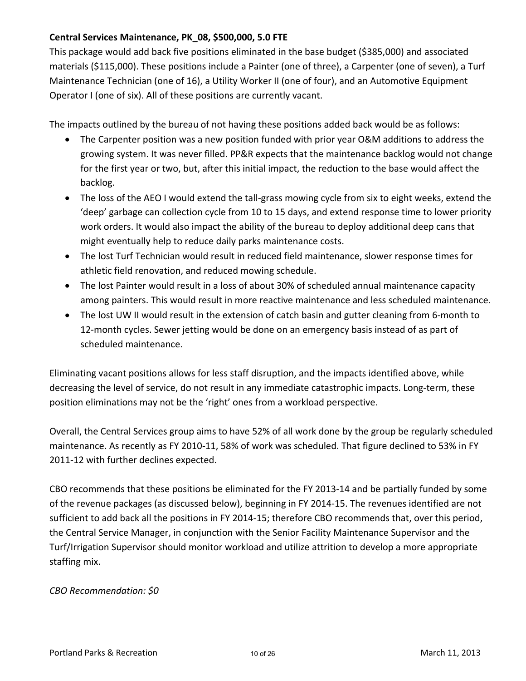#### **Central Services Maintenance, PK\_08, \$500,000, 5.0 FTE**

This package would add back five positions eliminated in the base budget (\$385,000) and associated materials (\$115,000). These positions include a Painter (one of three), a Carpenter (one of seven), a Turf Maintenance Technician (one of 16), a Utility Worker II (one of four), and an Automotive Equipment Operator I (one of six). All of these positions are currently vacant.

The impacts outlined by the bureau of not having these positions added back would be as follows:

- The Carpenter position was a new position funded with prior year O&M additions to address the growing system. It was never filled. PP&R expects that the maintenance backlog would not change for the first year or two, but, after this initial impact, the reduction to the base would affect the backlog.
- The loss of the AEO I would extend the tall-grass mowing cycle from six to eight weeks, extend the 'deep' garbage can collection cycle from 10 to 15 days, and extend response time to lower priority work orders. It would also impact the ability of the bureau to deploy additional deep cans that might eventually help to reduce daily parks maintenance costs.
- The lost Turf Technician would result in reduced field maintenance, slower response times for athletic field renovation, and reduced mowing schedule.
- The lost Painter would result in a loss of about 30% of scheduled annual maintenance capacity among painters. This would result in more reactive maintenance and less scheduled maintenance.
- The lost UW II would result in the extension of catch basin and gutter cleaning from 6‐month to 12-month cycles. Sewer jetting would be done on an emergency basis instead of as part of scheduled maintenance.

Eliminating vacant positions allows for less staff disruption, and the impacts identified above, while decreasing the level of service, do not result in any immediate catastrophic impacts. Long‐term, these position eliminations may not be the 'right' ones from a workload perspective.

Overall, the Central Services group aims to have 52% of all work done by the group be regularly scheduled maintenance. As recently as FY 2010‐11, 58% of work was scheduled. That figure declined to 53% in FY 2011‐12 with further declines expected.

CBO recommends that these positions be eliminated for the FY 2013‐14 and be partially funded by some of the revenue packages (as discussed below), beginning in FY 2014‐15. The revenues identified are not sufficient to add back all the positions in FY 2014‐15; therefore CBO recommends that, over this period, the Central Service Manager, in conjunction with the Senior Facility Maintenance Supervisor and the Turf/Irrigation Supervisor should monitor workload and utilize attrition to develop a more appropriate staffing mix.

#### *CBO Recommendation: \$0*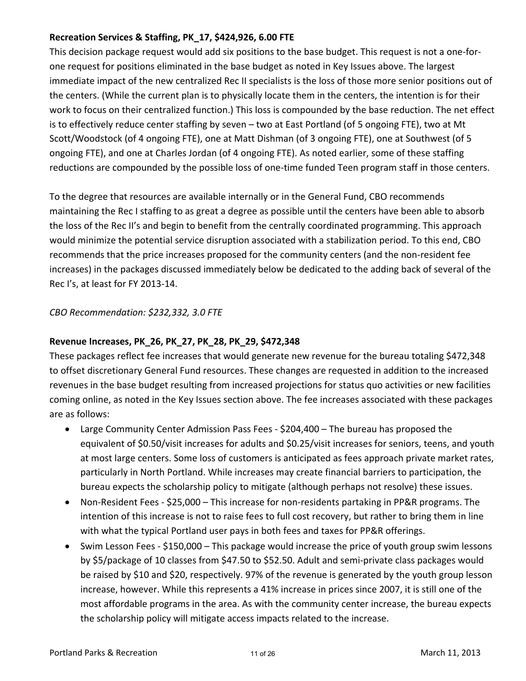#### **Recreation Services & Staffing, PK\_17, \$424,926, 6.00 FTE**

This decision package request would add six positions to the base budget. This request is not a one‐for‐ one request for positions eliminated in the base budget as noted in Key Issues above. The largest immediate impact of the new centralized Rec II specialists is the loss of those more senior positions out of the centers. (While the current plan is to physically locate them in the centers, the intention is for their work to focus on their centralized function.) This loss is compounded by the base reduction. The net effect is to effectively reduce center staffing by seven – two at East Portland (of 5 ongoing FTE), two at Mt Scott/Woodstock (of 4 ongoing FTE), one at Matt Dishman (of 3 ongoing FTE), one at Southwest (of 5 ongoing FTE), and one at Charles Jordan (of 4 ongoing FTE). As noted earlier, some of these staffing reductions are compounded by the possible loss of one-time funded Teen program staff in those centers.

To the degree that resources are available internally or in the General Fund, CBO recommends maintaining the Rec I staffing to as great a degree as possible until the centers have been able to absorb the loss of the Rec II's and begin to benefit from the centrally coordinated programming. This approach would minimize the potential service disruption associated with a stabilization period. To this end, CBO recommends that the price increases proposed for the community centers (and the non-resident fee increases) in the packages discussed immediately below be dedicated to the adding back of several of the Rec I's, at least for FY 2013‐14.

#### *CBO Recommendation: \$232,332, 3.0 FTE*

#### **Revenue Increases, PK\_26, PK\_27, PK\_28, PK\_29, \$472,348**

These packages reflect fee increases that would generate new revenue for the bureau totaling \$472,348 to offset discretionary General Fund resources. These changes are requested in addition to the increased revenues in the base budget resulting from increased projections for status quo activities or new facilities coming online, as noted in the Key Issues section above. The fee increases associated with these packages are as follows:

- Large Community Center Admission Pass Fees ‐ \$204,400 The bureau has proposed the equivalent of \$0.50/visit increases for adults and \$0.25/visit increases for seniors, teens, and youth at most large centers. Some loss of customers is anticipated as fees approach private market rates, particularly in North Portland. While increases may create financial barriers to participation, the bureau expects the scholarship policy to mitigate (although perhaps not resolve) these issues.
- Non-Resident Fees \$25,000 This increase for non-residents partaking in PP&R programs. The intention of this increase is not to raise fees to full cost recovery, but rather to bring them in line with what the typical Portland user pays in both fees and taxes for PP&R offerings.
- Swim Lesson Fees \$150,000 This package would increase the price of youth group swim lessons by \$5/package of 10 classes from \$47.50 to \$52.50. Adult and semi‐private class packages would be raised by \$10 and \$20, respectively. 97% of the revenue is generated by the youth group lesson increase, however. While this represents a 41% increase in prices since 2007, it is still one of the most affordable programs in the area. As with the community center increase, the bureau expects the scholarship policy will mitigate access impacts related to the increase.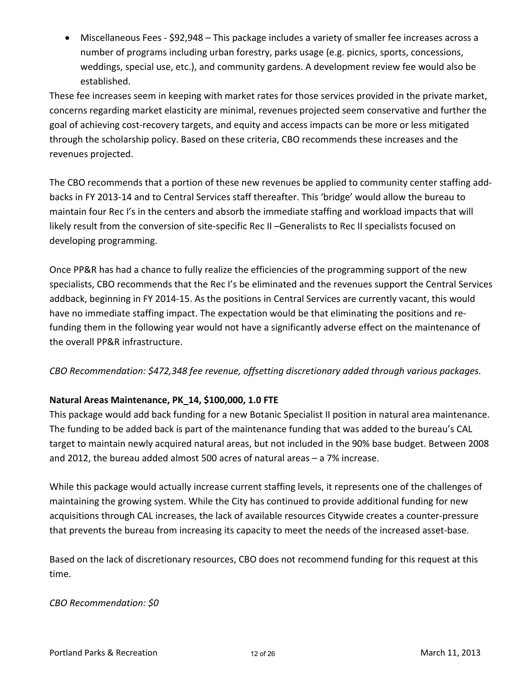● Miscellaneous Fees - \$92,948 – This package includes a variety of smaller fee increases across a number of programs including urban forestry, parks usage (e.g. picnics, sports, concessions, weddings, special use, etc.), and community gardens. A development review fee would also be established.

These fee increases seem in keeping with market rates for those services provided in the private market, concerns regarding market elasticity are minimal, revenues projected seem conservative and further the goal of achieving cost‐recovery targets, and equity and access impacts can be more or less mitigated through the scholarship policy. Based on these criteria, CBO recommends these increases and the revenues projected.

The CBO recommends that a portion of these new revenues be applied to community center staffing add‐ backs in FY 2013‐14 and to Central Services staff thereafter. This 'bridge' would allow the bureau to maintain four Rec I's in the centers and absorb the immediate staffing and workload impacts that will likely result from the conversion of site‐specific Rec II –Generalists to Rec II specialists focused on developing programming.

Once PP&R has had a chance to fully realize the efficiencies of the programming support of the new specialists, CBO recommends that the Rec I's be eliminated and the revenues support the Central Services addback, beginning in FY 2014‐15. As the positions in Central Services are currently vacant, this would have no immediate staffing impact. The expectation would be that eliminating the positions and re‐ funding them in the following year would not have a significantly adverse effect on the maintenance of the overall PP&R infrastructure.

*CBO Recommendation: \$472,348 fee revenue, offsetting discretionary added through various packages.*

#### **Natural Areas Maintenance, PK\_14, \$100,000, 1.0 FTE**

This package would add back funding for a new Botanic Specialist II position in natural area maintenance. The funding to be added back is part of the maintenance funding that was added to the bureau's CAL target to maintain newly acquired natural areas, but not included in the 90% base budget. Between 2008 and 2012, the bureau added almost 500 acres of natural areas – a 7% increase.

While this package would actually increase current staffing levels, it represents one of the challenges of maintaining the growing system. While the City has continued to provide additional funding for new acquisitions through CAL increases, the lack of available resources Citywide creates a counter‐pressure that prevents the bureau from increasing its capacity to meet the needs of the increased asset‐base.

Based on the lack of discretionary resources, CBO does not recommend funding for this request at this time.

#### *CBO Recommendation: \$0*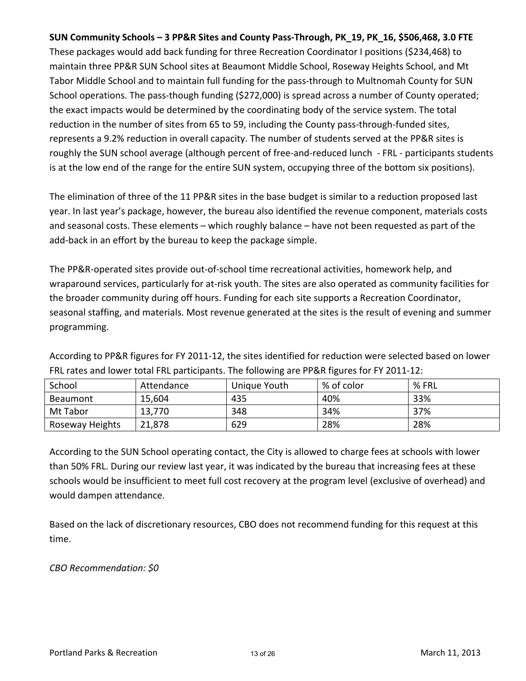#### **SUN Community Schools – 3 PP&R Sites and County Pass‐Through, PK\_19, PK\_16, \$506,468, 3.0 FTE**

These packages would add back funding for three Recreation Coordinator I positions (\$234,468) to maintain three PP&R SUN School sites at Beaumont Middle School, Roseway Heights School, and Mt Tabor Middle School and to maintain full funding for the pass-through to Multnomah County for SUN School operations. The pass-though funding (\$272,000) is spread across a number of County operated; the exact impacts would be determined by the coordinating body of the service system. The total reduction in the number of sites from 65 to 59, including the County pass-through-funded sites, represents a 9.2% reduction in overall capacity. The number of students served at the PP&R sites is roughly the SUN school average (although percent of free‐and‐reduced lunch ‐ FRL ‐ participants students is at the low end of the range for the entire SUN system, occupying three of the bottom six positions).

The elimination of three of the 11 PP&R sites in the base budget is similar to a reduction proposed last year. In last year's package, however, the bureau also identified the revenue component, materials costs and seasonal costs. These elements – which roughly balance – have not been requested as part of the add‐back in an effort by the bureau to keep the package simple.

The PP&R‐operated sites provide out‐of‐school time recreational activities, homework help, and wraparound services, particularly for at‐risk youth. The sites are also operated as community facilities for the broader community during off hours. Funding for each site supports a Recreation Coordinator, seasonal staffing, and materials. Most revenue generated at the sites is the result of evening and summer programming.

According to PP&R figures for FY 2011‐12, the sites identified for reduction were selected based on lower FRL rates and lower total FRL participants. The following are PP&R figures for FY 2011‐12:

| School          | Attendance | Unique Youth | % of color | % FRL |
|-----------------|------------|--------------|------------|-------|
| <b>Beaumont</b> | 15,604     | 435          | 40%        | 33%   |
| Mt Tabor        | 13,770     | 348          | 34%        | 37%   |
| Roseway Heights | 21,878     | 629          | 28%        | 28%   |

According to the SUN School operating contact, the City is allowed to charge fees at schools with lower than 50% FRL. During our review last year, it was indicated by the bureau that increasing fees at these schools would be insufficient to meet full cost recovery at the program level (exclusive of overhead) and would dampen attendance.

Based on the lack of discretionary resources, CBO does not recommend funding for this request at this time.

*CBO Recommendation: \$0*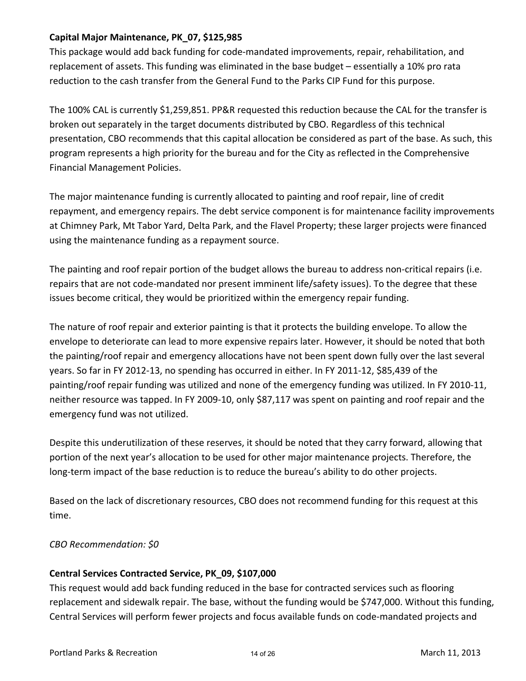#### **Capital Major Maintenance, PK\_07, \$125,985**

This package would add back funding for code‐mandated improvements, repair, rehabilitation, and replacement of assets. This funding was eliminated in the base budget – essentially a 10% pro rata reduction to the cash transfer from the General Fund to the Parks CIP Fund for this purpose.

The 100% CAL is currently \$1,259,851. PP&R requested this reduction because the CAL for the transfer is broken out separately in the target documents distributed by CBO. Regardless of this technical presentation, CBO recommends that this capital allocation be considered as part of the base. As such, this program represents a high priority for the bureau and for the City as reflected in the Comprehensive Financial Management Policies.

The major maintenance funding is currently allocated to painting and roof repair, line of credit repayment, and emergency repairs. The debt service component is for maintenance facility improvements at Chimney Park, Mt Tabor Yard, Delta Park, and the Flavel Property; these larger projects were financed using the maintenance funding as a repayment source.

The painting and roof repair portion of the budget allows the bureau to address non-critical repairs (i.e. repairs that are not code‐mandated nor present imminent life/safety issues). To the degree that these issues become critical, they would be prioritized within the emergency repair funding.

The nature of roof repair and exterior painting is that it protects the building envelope. To allow the envelope to deteriorate can lead to more expensive repairs later. However, it should be noted that both the painting/roof repair and emergency allocations have not been spent down fully over the last several years. So far in FY 2012‐13, no spending has occurred in either. In FY 2011‐12, \$85,439 of the painting/roof repair funding was utilized and none of the emergency funding was utilized. In FY 2010‐11, neither resource was tapped. In FY 2009‐10, only \$87,117 was spent on painting and roof repair and the emergency fund was not utilized.

Despite this underutilization of these reserves, it should be noted that they carry forward, allowing that portion of the next year's allocation to be used for other major maintenance projects. Therefore, the long-term impact of the base reduction is to reduce the bureau's ability to do other projects.

Based on the lack of discretionary resources, CBO does not recommend funding for this request at this time.

#### *CBO Recommendation: \$0*

#### **Central Services Contracted Service, PK\_09, \$107,000**

This request would add back funding reduced in the base for contracted services such as flooring replacement and sidewalk repair. The base, without the funding would be \$747,000. Without this funding, Central Services will perform fewer projects and focus available funds on code‐mandated projects and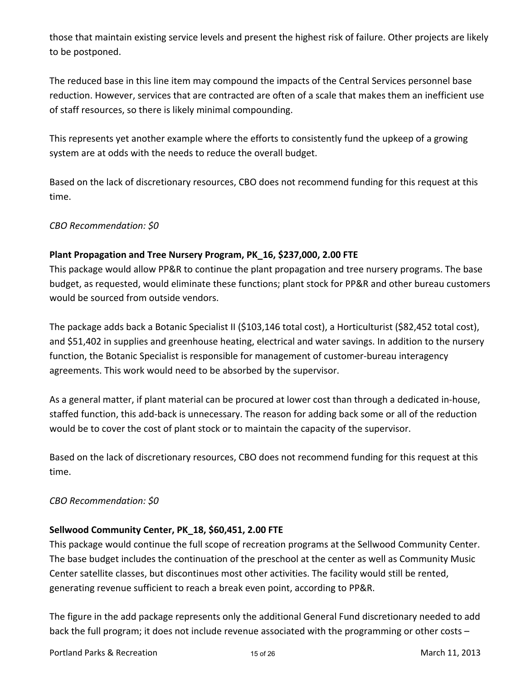those that maintain existing service levels and present the highest risk of failure. Other projects are likely to be postponed.

The reduced base in this line item may compound the impacts of the Central Services personnel base reduction. However, services that are contracted are often of a scale that makes them an inefficient use of staff resources, so there is likely minimal compounding.

This represents yet another example where the efforts to consistently fund the upkeep of a growing system are at odds with the needs to reduce the overall budget.

Based on the lack of discretionary resources, CBO does not recommend funding for this request at this time.

*CBO Recommendation: \$0*

#### **Plant Propagation and Tree Nursery Program, PK\_16, \$237,000, 2.00 FTE**

This package would allow PP&R to continue the plant propagation and tree nursery programs. The base budget, as requested, would eliminate these functions; plant stock for PP&R and other bureau customers would be sourced from outside vendors.

The package adds back a Botanic Specialist II (\$103,146 total cost), a Horticulturist (\$82,452 total cost), and \$51,402 in supplies and greenhouse heating, electrical and water savings. In addition to the nursery function, the Botanic Specialist is responsible for management of customer‐bureau interagency agreements. This work would need to be absorbed by the supervisor.

As a general matter, if plant material can be procured at lower cost than through a dedicated in‐house, staffed function, this add‐back is unnecessary. The reason for adding back some or all of the reduction would be to cover the cost of plant stock or to maintain the capacity of the supervisor.

Based on the lack of discretionary resources, CBO does not recommend funding for this request at this time.

#### *CBO Recommendation: \$0*

#### **Sellwood Community Center, PK\_18, \$60,451, 2.00 FTE**

This package would continue the full scope of recreation programs at the Sellwood Community Center. The base budget includes the continuation of the preschool at the center as well as Community Music Center satellite classes, but discontinues most other activities. The facility would still be rented, generating revenue sufficient to reach a break even point, according to PP&R.

The figure in the add package represents only the additional General Fund discretionary needed to add back the full program; it does not include revenue associated with the programming or other costs –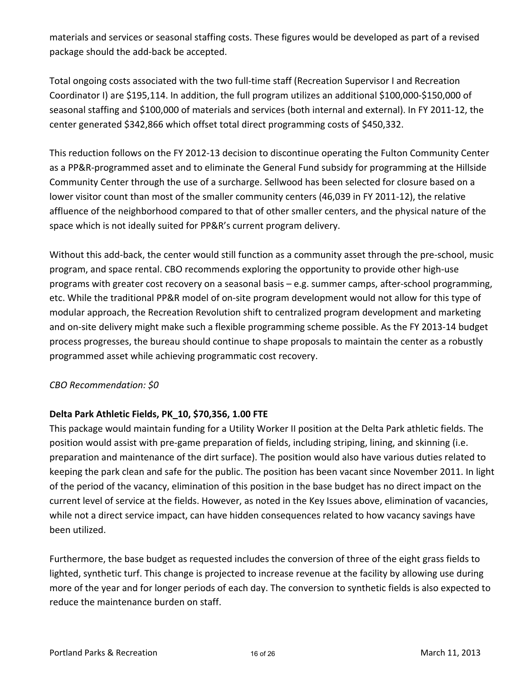materials and services or seasonal staffing costs. These figures would be developed as part of a revised package should the add‐back be accepted.

Total ongoing costs associated with the two full‐time staff (Recreation Supervisor I and Recreation Coordinator I) are \$195,114. In addition, the full program utilizes an additional \$100,000‐\$150,000 of seasonal staffing and \$100,000 of materials and services (both internal and external). In FY 2011‐12, the center generated \$342,866 which offset total direct programming costs of \$450,332.

This reduction follows on the FY 2012‐13 decision to discontinue operating the Fulton Community Center as a PP&R‐programmed asset and to eliminate the General Fund subsidy for programming at the Hillside Community Center through the use of a surcharge. Sellwood has been selected for closure based on a lower visitor count than most of the smaller community centers (46,039 in FY 2011‐12), the relative affluence of the neighborhood compared to that of other smaller centers, and the physical nature of the space which is not ideally suited for PP&R's current program delivery.

Without this add-back, the center would still function as a community asset through the pre-school, music program, and space rental. CBO recommends exploring the opportunity to provide other high‐use programs with greater cost recovery on a seasonal basis – e.g. summer camps, after‐school programming, etc. While the traditional PP&R model of on‐site program development would not allow for this type of modular approach, the Recreation Revolution shift to centralized program development and marketing and on‐site delivery might make such a flexible programming scheme possible. As the FY 2013‐14 budget process progresses, the bureau should continue to shape proposals to maintain the center as a robustly programmed asset while achieving programmatic cost recovery.

#### *CBO Recommendation: \$0*

#### **Delta Park Athletic Fields, PK\_10, \$70,356, 1.00 FTE**

This package would maintain funding for a Utility Worker II position at the Delta Park athletic fields. The position would assist with pre-game preparation of fields, including striping, lining, and skinning (i.e. preparation and maintenance of the dirt surface). The position would also have various duties related to keeping the park clean and safe for the public. The position has been vacant since November 2011. In light of the period of the vacancy, elimination of this position in the base budget has no direct impact on the current level of service at the fields. However, as noted in the Key Issues above, elimination of vacancies, while not a direct service impact, can have hidden consequences related to how vacancy savings have been utilized.

Furthermore, the base budget as requested includes the conversion of three of the eight grass fields to lighted, synthetic turf. This change is projected to increase revenue at the facility by allowing use during more of the year and for longer periods of each day. The conversion to synthetic fields is also expected to reduce the maintenance burden on staff.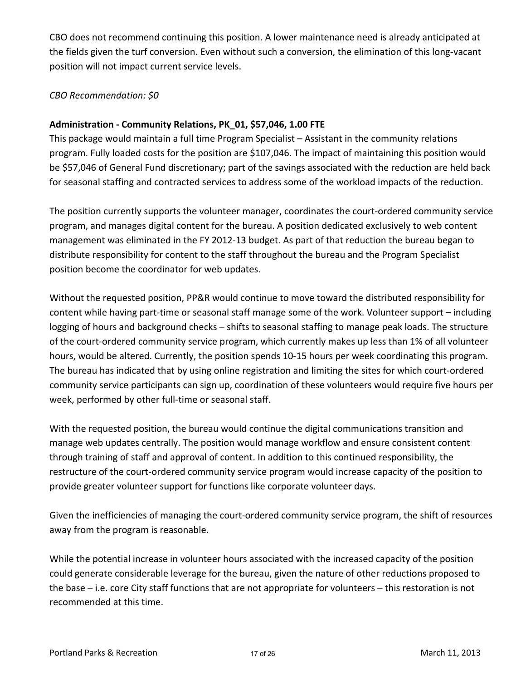CBO does not recommend continuing this position. A lower maintenance need is already anticipated at the fields given the turf conversion. Even without such a conversion, the elimination of this long‐vacant position will not impact current service levels.

#### *CBO Recommendation: \$0*

#### **Administration ‐ Community Relations, PK\_01, \$57,046, 1.00 FTE**

This package would maintain a full time Program Specialist – Assistant in the community relations program. Fully loaded costs for the position are \$107,046. The impact of maintaining this position would be \$57,046 of General Fund discretionary; part of the savings associated with the reduction are held back for seasonal staffing and contracted services to address some of the workload impacts of the reduction.

The position currently supports the volunteer manager, coordinates the court‐ordered community service program, and manages digital content for the bureau. A position dedicated exclusively to web content management was eliminated in the FY 2012‐13 budget. As part of that reduction the bureau began to distribute responsibility for content to the staff throughout the bureau and the Program Specialist position become the coordinator for web updates.

Without the requested position, PP&R would continue to move toward the distributed responsibility for content while having part-time or seasonal staff manage some of the work. Volunteer support – including logging of hours and background checks – shifts to seasonal staffing to manage peak loads. The structure of the court‐ordered community service program, which currently makes up less than 1% of all volunteer hours, would be altered. Currently, the position spends 10‐15 hours per week coordinating this program. The bureau has indicated that by using online registration and limiting the sites for which court‐ordered community service participants can sign up, coordination of these volunteers would require five hours per week, performed by other full-time or seasonal staff.

With the requested position, the bureau would continue the digital communications transition and manage web updates centrally. The position would manage workflow and ensure consistent content through training of staff and approval of content. In addition to this continued responsibility, the restructure of the court‐ordered community service program would increase capacity of the position to provide greater volunteer support for functions like corporate volunteer days.

Given the inefficiencies of managing the court‐ordered community service program, the shift of resources away from the program is reasonable.

While the potential increase in volunteer hours associated with the increased capacity of the position could generate considerable leverage for the bureau, given the nature of other reductions proposed to the base – i.e. core City staff functions that are not appropriate for volunteers – this restoration is not recommended at this time.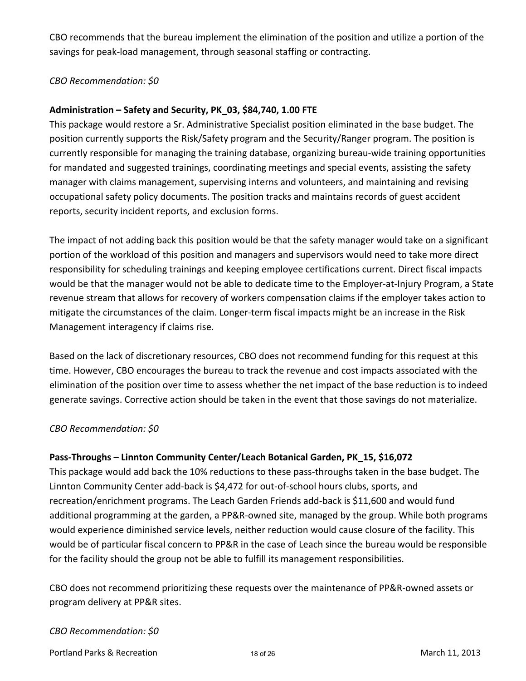CBO recommends that the bureau implement the elimination of the position and utilize a portion of the savings for peak‐load management, through seasonal staffing or contracting.

#### *CBO Recommendation: \$0*

#### **Administration – Safety and Security, PK\_03, \$84,740, 1.00 FTE**

This package would restore a Sr. Administrative Specialist position eliminated in the base budget. The position currently supports the Risk/Safety program and the Security/Ranger program. The position is currently responsible for managing the training database, organizing bureau‐wide training opportunities for mandated and suggested trainings, coordinating meetings and special events, assisting the safety manager with claims management, supervising interns and volunteers, and maintaining and revising occupational safety policy documents. The position tracks and maintains records of guest accident reports, security incident reports, and exclusion forms.

The impact of not adding back this position would be that the safety manager would take on a significant portion of the workload of this position and managers and supervisors would need to take more direct responsibility for scheduling trainings and keeping employee certifications current. Direct fiscal impacts would be that the manager would not be able to dedicate time to the Employer‐at‐Injury Program, a State revenue stream that allows for recovery of workers compensation claims if the employer takes action to mitigate the circumstances of the claim. Longer‐term fiscal impacts might be an increase in the Risk Management interagency if claims rise.

Based on the lack of discretionary resources, CBO does not recommend funding for this request at this time. However, CBO encourages the bureau to track the revenue and cost impacts associated with the elimination of the position over time to assess whether the net impact of the base reduction is to indeed generate savings. Corrective action should be taken in the event that those savings do not materialize.

#### *CBO Recommendation: \$0*

#### **Pass‐Throughs – Linnton Community Center/Leach Botanical Garden, PK\_15, \$16,072**

This package would add back the 10% reductions to these pass-throughs taken in the base budget. The Linnton Community Center add‐back is \$4,472 for out‐of‐school hours clubs, sports, and recreation/enrichment programs. The Leach Garden Friends add‐back is \$11,600 and would fund additional programming at the garden, a PP&R‐owned site, managed by the group. While both programs would experience diminished service levels, neither reduction would cause closure of the facility. This would be of particular fiscal concern to PP&R in the case of Leach since the bureau would be responsible for the facility should the group not be able to fulfill its management responsibilities.

CBO does not recommend prioritizing these requests over the maintenance of PP&R‐owned assets or program delivery at PP&R sites.

#### *CBO Recommendation: \$0*

Portland Parks & Recreation March 11, 2013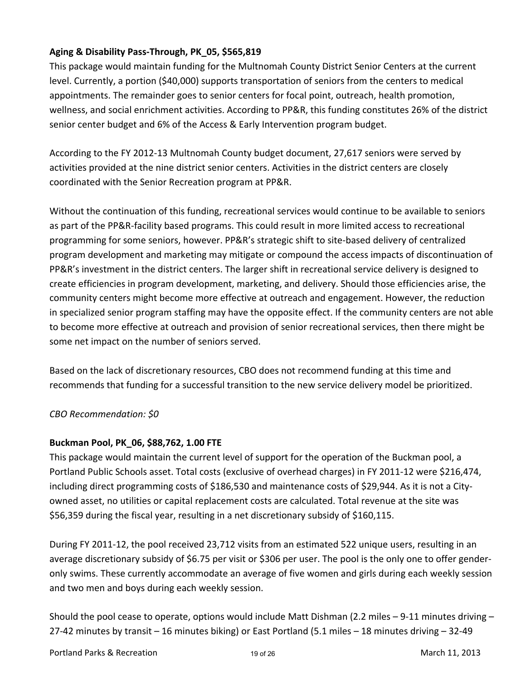## **Aging & Disability Pass‐Through, PK\_05, \$565,819**

This package would maintain funding for the Multnomah County District Senior Centers at the current level. Currently, a portion (\$40,000) supports transportation of seniors from the centers to medical appointments. The remainder goes to senior centers for focal point, outreach, health promotion, wellness, and social enrichment activities. According to PP&R, this funding constitutes 26% of the district senior center budget and 6% of the Access & Early Intervention program budget.

According to the FY 2012‐13 Multnomah County budget document, 27,617 seniors were served by activities provided at the nine district senior centers. Activities in the district centers are closely coordinated with the Senior Recreation program at PP&R.

Without the continuation of this funding, recreational services would continue to be available to seniors as part of the PP&R‐facility based programs. This could result in more limited access to recreational programming for some seniors, however. PP&R's strategic shift to site‐based delivery of centralized program development and marketing may mitigate or compound the access impacts of discontinuation of PP&R's investment in the district centers. The larger shift in recreational service delivery is designed to create efficiencies in program development, marketing, and delivery. Should those efficiencies arise, the community centers might become more effective at outreach and engagement. However, the reduction in specialized senior program staffing may have the opposite effect. If the community centers are not able to become more effective at outreach and provision of senior recreational services, then there might be some net impact on the number of seniors served.

Based on the lack of discretionary resources, CBO does not recommend funding at this time and recommends that funding for a successful transition to the new service delivery model be prioritized.

#### *CBO Recommendation: \$0*

#### **Buckman Pool, PK\_06, \$88,762, 1.00 FTE**

This package would maintain the current level of support for the operation of the Buckman pool, a Portland Public Schools asset. Total costs (exclusive of overhead charges) in FY 2011‐12 were \$216,474, including direct programming costs of \$186,530 and maintenance costs of \$29,944. As it is not a City‐ owned asset, no utilities or capital replacement costs are calculated. Total revenue at the site was \$56,359 during the fiscal year, resulting in a net discretionary subsidy of \$160,115.

During FY 2011‐12, the pool received 23,712 visits from an estimated 522 unique users, resulting in an average discretionary subsidy of \$6.75 per visit or \$306 per user. The pool is the only one to offer gender‐ only swims. These currently accommodate an average of five women and girls during each weekly session and two men and boys during each weekly session.

Should the pool cease to operate, options would include Matt Dishman (2.2 miles – 9‐11 minutes driving – 27‐42 minutes by transit – 16 minutes biking) or East Portland (5.1 miles – 18 minutes driving – 32‐49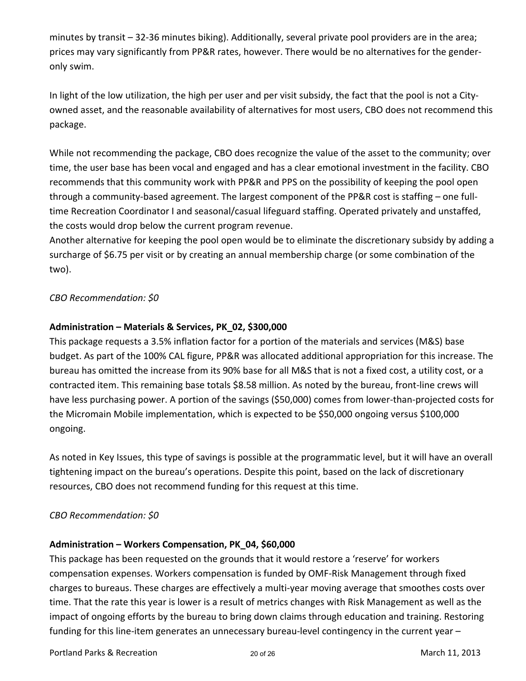minutes by transit – 32‐36 minutes biking). Additionally, several private pool providers are in the area; prices may vary significantly from PP&R rates, however. There would be no alternatives for the gender‐ only swim.

In light of the low utilization, the high per user and per visit subsidy, the fact that the pool is not a City‐ owned asset, and the reasonable availability of alternatives for most users, CBO does not recommend this package.

While not recommending the package, CBO does recognize the value of the asset to the community; over time, the user base has been vocal and engaged and has a clear emotional investment in the facility. CBO recommends that this community work with PP&R and PPS on the possibility of keeping the pool open through a community-based agreement. The largest component of the PP&R cost is staffing - one fulltime Recreation Coordinator I and seasonal/casual lifeguard staffing. Operated privately and unstaffed, the costs would drop below the current program revenue.

Another alternative for keeping the pool open would be to eliminate the discretionary subsidy by adding a surcharge of \$6.75 per visit or by creating an annual membership charge (or some combination of the two).

*CBO Recommendation: \$0*

#### **Administration – Materials & Services, PK\_02, \$300,000**

This package requests a 3.5% inflation factor for a portion of the materials and services (M&S) base budget. As part of the 100% CAL figure, PP&R was allocated additional appropriation for this increase. The bureau has omitted the increase from its 90% base for all M&S that is not a fixed cost, a utility cost, or a contracted item. This remaining base totals \$8.58 million. As noted by the bureau, front‐line crews will have less purchasing power. A portion of the savings (\$50,000) comes from lower-than-projected costs for the Micromain Mobile implementation, which is expected to be \$50,000 ongoing versus \$100,000 ongoing.

As noted in Key Issues, this type of savings is possible at the programmatic level, but it will have an overall tightening impact on the bureau's operations. Despite this point, based on the lack of discretionary resources, CBO does not recommend funding for this request at this time.

#### *CBO Recommendation: \$0*

#### **Administration – Workers Compensation, PK\_04, \$60,000**

This package has been requested on the grounds that it would restore a 'reserve' for workers compensation expenses. Workers compensation is funded by OMF‐Risk Management through fixed charges to bureaus. These charges are effectively a multi‐year moving average that smoothes costs over time. That the rate this year is lower is a result of metrics changes with Risk Management as well as the impact of ongoing efforts by the bureau to bring down claims through education and training. Restoring funding for this line-item generates an unnecessary bureau-level contingency in the current year –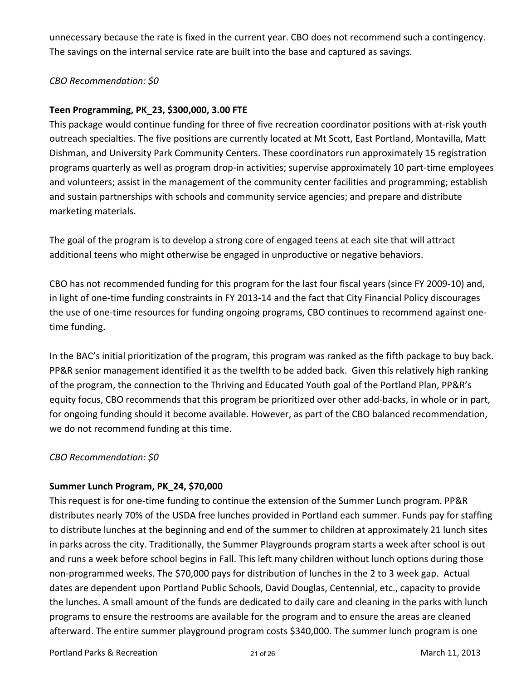unnecessary because the rate is fixed in the current year. CBO does not recommend such a contingency. The savings on the internal service rate are built into the base and captured as savings.

#### *CBO Recommendation: \$0*

#### **Teen Programming, PK\_23, \$300,000, 3.00 FTE**

This package would continue funding for three of five recreation coordinator positions with at‐risk youth outreach specialties. The five positions are currently located at Mt Scott, East Portland, Montavilla, Matt Dishman, and University Park Community Centers. These coordinators run approximately 15 registration programs quarterly as well as program drop‐in activities; supervise approximately 10 part‐time employees and volunteers; assist in the management of the community center facilities and programming; establish and sustain partnerships with schools and community service agencies; and prepare and distribute marketing materials.

The goal of the program is to develop a strong core of engaged teens at each site that will attract additional teens who might otherwise be engaged in unproductive or negative behaviors.

CBO has not recommended funding for this program for the last four fiscal years (since FY 2009‐10) and, in light of one-time funding constraints in FY 2013-14 and the fact that City Financial Policy discourages the use of one-time resources for funding ongoing programs, CBO continues to recommend against onetime funding.

In the BAC's initial prioritization of the program, this program was ranked as the fifth package to buy back. PP&R senior management identified it as the twelfth to be added back. Given this relatively high ranking of the program, the connection to the Thriving and Educated Youth goal of the Portland Plan, PP&R's equity focus, CBO recommends that this program be prioritized over other add‐backs, in whole or in part, for ongoing funding should it become available. However, as part of the CBO balanced recommendation, we do not recommend funding at this time.

#### *CBO Recommendation: \$0*

#### **Summer Lunch Program, PK\_24, \$70,000**

This request is for one‐time funding to continue the extension of the Summer Lunch program. PP&R distributes nearly 70% of the USDA free lunches provided in Portland each summer. Funds pay for staffing to distribute lunches at the beginning and end of the summer to children at approximately 21 lunch sites in parks across the city. Traditionally, the Summer Playgrounds program starts a week after school is out and runs a week before school begins in Fall. This left many children without lunch options during those non‐programmed weeks. The \$70,000 pays for distribution of lunches in the 2 to 3 week gap. Actual dates are dependent upon Portland Public Schools, David Douglas, Centennial, etc., capacity to provide the lunches. A small amount of the funds are dedicated to daily care and cleaning in the parks with lunch programs to ensure the restrooms are available for the program and to ensure the areas are cleaned afterward. The entire summer playground program costs \$340,000. The summer lunch program is one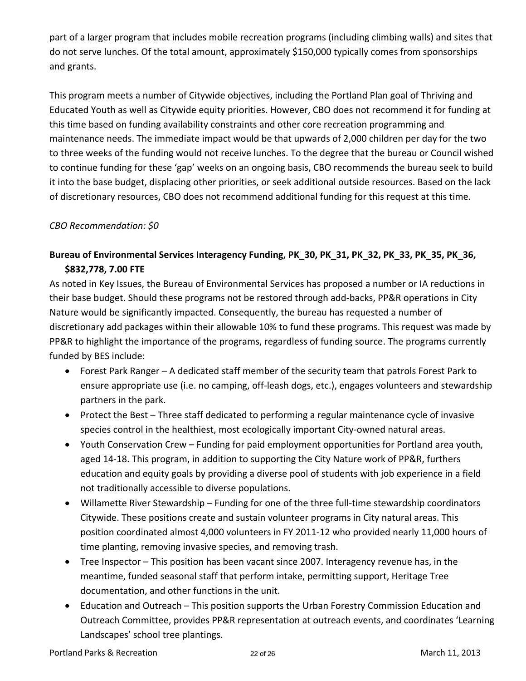part of a larger program that includes mobile recreation programs (including climbing walls) and sites that do not serve lunches. Of the total amount, approximately \$150,000 typically comes from sponsorships and grants.

This program meets a number of Citywide objectives, including the Portland Plan goal of Thriving and Educated Youth as well as Citywide equity priorities. However, CBO does not recommend it for funding at this time based on funding availability constraints and other core recreation programming and maintenance needs. The immediate impact would be that upwards of 2,000 children per day for the two to three weeks of the funding would not receive lunches. To the degree that the bureau or Council wished to continue funding for these 'gap' weeks on an ongoing basis, CBO recommends the bureau seek to build it into the base budget, displacing other priorities, or seek additional outside resources. Based on the lack of discretionary resources, CBO does not recommend additional funding for this request at this time.

#### *CBO Recommendation: \$0*

# **Bureau of Environmental Services Interagency Funding, PK\_30, PK\_31, PK\_32, PK\_33, PK\_35, PK\_36, \$832,778, 7.00 FTE**

As noted in Key Issues, the Bureau of Environmental Services has proposed a number or IA reductions in their base budget. Should these programs not be restored through add‐backs, PP&R operations in City Nature would be significantly impacted. Consequently, the bureau has requested a number of discretionary add packages within their allowable 10% to fund these programs. This request was made by PP&R to highlight the importance of the programs, regardless of funding source. The programs currently funded by BES include:

- Forest Park Ranger A dedicated staff member of the security team that patrols Forest Park to ensure appropriate use (i.e. no camping, off-leash dogs, etc.), engages volunteers and stewardship partners in the park.
- Protect the Best Three staff dedicated to performing a regular maintenance cycle of invasive species control in the healthiest, most ecologically important City-owned natural areas.
- Youth Conservation Crew Funding for paid employment opportunities for Portland area youth, aged 14‐18. This program, in addition to supporting the City Nature work of PP&R, furthers education and equity goals by providing a diverse pool of students with job experience in a field not traditionally accessible to diverse populations.
- Willamette River Stewardship Funding for one of the three full-time stewardship coordinators Citywide. These positions create and sustain volunteer programs in City natural areas. This position coordinated almost 4,000 volunteers in FY 2011‐12 who provided nearly 11,000 hours of time planting, removing invasive species, and removing trash.
- Tree Inspector This position has been vacant since 2007. Interagency revenue has, in the meantime, funded seasonal staff that perform intake, permitting support, Heritage Tree documentation, and other functions in the unit.
- Education and Outreach This position supports the Urban Forestry Commission Education and Outreach Committee, provides PP&R representation at outreach events, and coordinates 'Learning Landscapes' school tree plantings.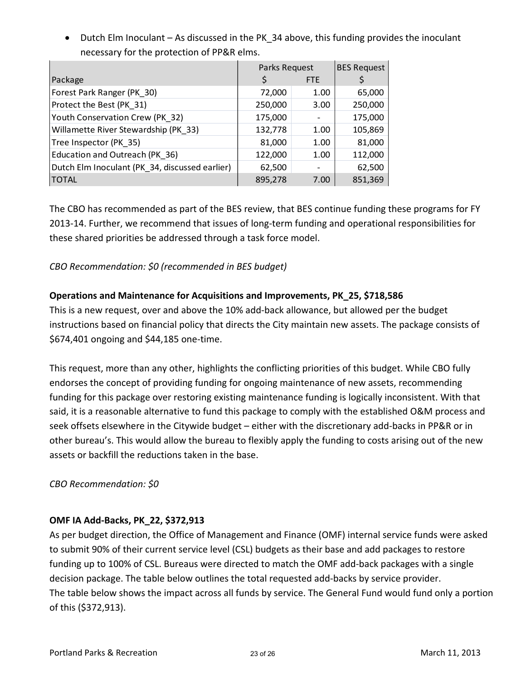• Dutch Elm Inoculant – As discussed in the PK 34 above, this funding provides the inoculant necessary for the protection of PP&R elms.

|                                                | Parks Request | <b>BES Request</b> |         |
|------------------------------------------------|---------------|--------------------|---------|
| Package                                        |               | FTE                |         |
| Forest Park Ranger (PK_30)                     | 72,000        | 1.00               | 65,000  |
| Protect the Best (PK_31)                       | 250,000       | 3.00               | 250,000 |
| Youth Conservation Crew (PK 32)                | 175,000       |                    | 175,000 |
| Willamette River Stewardship (PK 33)           | 132,778       | 1.00               | 105,869 |
| Tree Inspector (PK 35)                         | 81,000        | 1.00               | 81,000  |
| Education and Outreach (PK_36)                 | 122,000       | 1.00               | 112,000 |
| Dutch Elm Inoculant (PK_34, discussed earlier) | 62,500        |                    | 62,500  |
| <b>TOTAL</b>                                   | 895,278       | 7.00               | 851,369 |

The CBO has recommended as part of the BES review, that BES continue funding these programs for FY 2013‐14. Further, we recommend that issues of long‐term funding and operational responsibilities for these shared priorities be addressed through a task force model.

*CBO Recommendation: \$0 (recommended in BES budget)*

## **Operations and Maintenance for Acquisitions and Improvements, PK\_25, \$718,586**

This is a new request, over and above the 10% add‐back allowance, but allowed per the budget instructions based on financial policy that directs the City maintain new assets. The package consists of \$674,401 ongoing and \$44,185 one‐time.

This request, more than any other, highlights the conflicting priorities of this budget. While CBO fully endorses the concept of providing funding for ongoing maintenance of new assets, recommending funding for this package over restoring existing maintenance funding is logically inconsistent. With that said, it is a reasonable alternative to fund this package to comply with the established O&M process and seek offsets elsewhere in the Citywide budget – either with the discretionary add‐backs in PP&R or in other bureau's. This would allow the bureau to flexibly apply the funding to costs arising out of the new assets or backfill the reductions taken in the base.

#### *CBO Recommendation: \$0*

#### **OMF IA Add‐Backs, PK\_22, \$372,913**

As per budget direction, the Office of Management and Finance (OMF) internal service funds were asked to submit 90% of their current service level (CSL) budgets as their base and add packages to restore funding up to 100% of CSL. Bureaus were directed to match the OMF add‐back packages with a single decision package. The table below outlines the total requested add‐backs by service provider. The table below shows the impact across all funds by service. The General Fund would fund only a portion of this (\$372,913).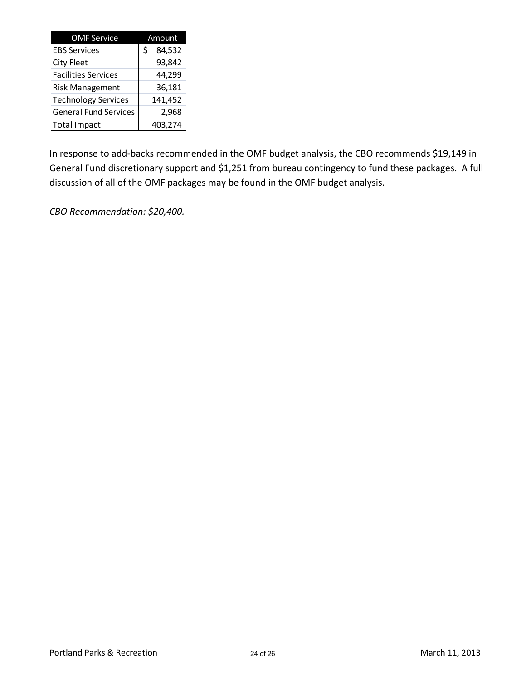| <b>OMF Service</b>           | Amount       |  |  |  |  |
|------------------------------|--------------|--|--|--|--|
| <b>EBS Services</b>          | \$<br>84,532 |  |  |  |  |
| <b>City Fleet</b>            | 93,842       |  |  |  |  |
| <b>Facilities Services</b>   | 44,299       |  |  |  |  |
| <b>Risk Management</b>       | 36,181       |  |  |  |  |
| <b>Technology Services</b>   | 141,452      |  |  |  |  |
| <b>General Fund Services</b> | 2,968        |  |  |  |  |
| <b>Total Impact</b>          | 403,274      |  |  |  |  |

In response to add‐backs recommended in the OMF budget analysis, the CBO recommends \$19,149 in General Fund discretionary support and \$1,251 from bureau contingency to fund these packages. A full discussion of all of the OMF packages may be found in the OMF budget analysis.

*CBO Recommendation: \$20,400.*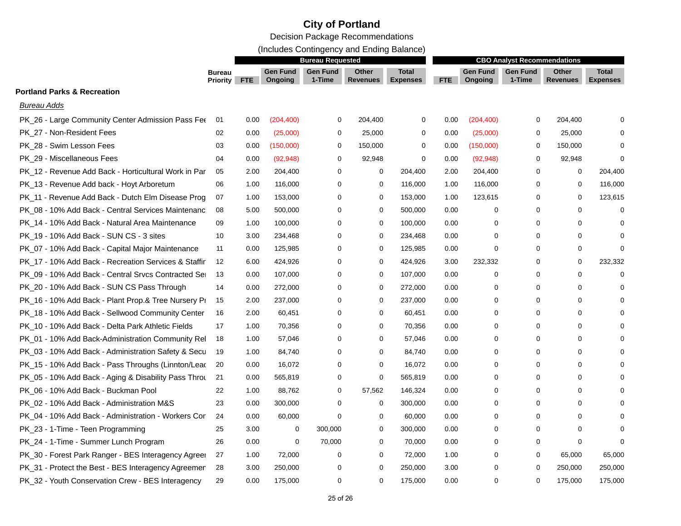# **City of Portland**

Decision Package Recommendations

(Includes Contingency and Ending Balance)

|                                                      |                                  | <b>Bureau Requested</b> |                            |                           |                          | <b>CBO Analyst Recommendations</b> |      |                            |                           |                                 |                                 |
|------------------------------------------------------|----------------------------------|-------------------------|----------------------------|---------------------------|--------------------------|------------------------------------|------|----------------------------|---------------------------|---------------------------------|---------------------------------|
|                                                      | <b>Bureau</b><br><b>Priority</b> | FTE                     | <b>Gen Fund</b><br>Ongoing | <b>Gen Fund</b><br>1-Time | Other<br><b>Revenues</b> | <b>Total</b><br><b>Expenses</b>    | FTE  | <b>Gen Fund</b><br>Ongoing | <b>Gen Fund</b><br>1-Time | <b>Other</b><br><b>Revenues</b> | <b>Total</b><br><b>Expenses</b> |
| <b>Portland Parks &amp; Recreation</b>               |                                  |                         |                            |                           |                          |                                    |      |                            |                           |                                 |                                 |
| Bureau Adds                                          |                                  |                         |                            |                           |                          |                                    |      |                            |                           |                                 |                                 |
| PK_26 - Large Community Center Admission Pass Fee    | 01                               | 0.00                    | (204, 400)                 | 0                         | 204,400                  | $\mathbf 0$                        | 0.00 | (204, 400)                 | 0                         | 204,400                         | $\Omega$                        |
| PK 27 - Non-Resident Fees                            | 02                               | 0.00                    | (25,000)                   | $\mathbf 0$               | 25,000                   | 0                                  | 0.00 | (25,000)                   | $\mathbf 0$               | 25,000                          | $\Omega$                        |
| PK_28 - Swim Lesson Fees                             | 03                               | 0.00                    | (150,000)                  | 0                         | 150,000                  | $\mathbf 0$                        | 0.00 | (150,000)                  | $\mathbf 0$               | 150,000                         | $\Omega$                        |
| PK 29 - Miscellaneous Fees                           | 04                               | 0.00                    | (92, 948)                  | 0                         | 92,948                   | 0                                  | 0.00 | (92, 948)                  | 0                         | 92,948                          | 0                               |
| PK 12 - Revenue Add Back - Horticultural Work in Par | 05                               | 2.00                    | 204,400                    | $\mathbf 0$               | 0                        | 204,400                            | 2.00 | 204,400                    | 0                         | 0                               | 204,400                         |
| PK_13 - Revenue Add back - Hoyt Arboretum            | 06                               | 1.00                    | 116,000                    | $\mathbf 0$               | 0                        | 116,000                            | 1.00 | 116,000                    | 0                         | 0                               | 116,000                         |
| PK 11 - Revenue Add Back - Dutch Elm Disease Prog    | 07                               | 1.00                    | 153,000                    | $\mathbf 0$               | $\mathbf 0$              | 153,000                            | 1.00 | 123,615                    | 0                         | 0                               | 123,615                         |
| PK_08 - 10% Add Back - Central Services Maintenanc   | 08                               | 5.00                    | 500,000                    | 0                         | $\mathbf 0$              | 500,000                            | 0.00 | 0                          | $\Omega$                  | 0                               | $\Omega$                        |
| PK_14 - 10% Add Back - Natural Area Maintenance      | 09                               | 1.00                    | 100,000                    | 0                         | 0                        | 100,000                            | 0.00 | 0                          | 0                         | 0                               | $\Omega$                        |
| PK 19 - 10% Add Back - SUN CS - 3 sites              | 10                               | 3.00                    | 234,468                    | 0                         | $\mathbf 0$              | 234,468                            | 0.00 | 0                          | 0                         | 0                               | $\Omega$                        |
| PK_07 - 10% Add Back - Capital Major Maintenance     | 11                               | 0.00                    | 125,985                    | 0                         | $\mathbf 0$              | 125,985                            | 0.00 | $\mathbf 0$                | 0                         | 0                               | $\Omega$                        |
| PK 17 - 10% Add Back - Recreation Services & Staffir | 12                               | 6.00                    | 424,926                    | $\mathbf 0$               | 0                        | 424,926                            | 3.00 | 232,332                    | 0                         | 0                               | 232,332                         |
| PK_09 - 10% Add Back - Central Srvcs Contracted Se   | 13                               | 0.00                    | 107,000                    | 0                         | $\mathbf 0$              | 107,000                            | 0.00 | $\mathbf 0$                | 0                         | 0                               | $\Omega$                        |
| PK_20 - 10% Add Back - SUN CS Pass Through           | 14                               | 0.00                    | 272,000                    | 0                         | 0                        | 272,000                            | 0.00 | 0                          | 0                         | 0                               | $\Omega$                        |
| PK_16 - 10% Add Back - Plant Prop.& Tree Nursery Pr  | 15                               | 2.00                    | 237,000                    | 0                         | $\mathbf 0$              | 237,000                            | 0.00 | $\mathbf 0$                | $\mathbf 0$               | 0                               | $\Omega$                        |
| PK_18 - 10% Add Back - Sellwood Community Center     | 16                               | 2.00                    | 60,451                     | $\mathbf 0$               | $\mathbf 0$              | 60,451                             | 0.00 | $\mathbf 0$                | $\mathbf 0$               | 0                               | $\Omega$                        |
| PK_10 - 10% Add Back - Delta Park Athletic Fields    | 17                               | 1.00                    | 70,356                     | 0                         | 0                        | 70,356                             | 0.00 | 0                          | 0                         | 0                               | $\Omega$                        |
| PK_01 - 10% Add Back-Administration Community Rel    | 18                               | 1.00                    | 57,046                     | $\Omega$                  | 0                        | 57,046                             | 0.00 | $\Omega$                   | $\Omega$                  | $\Omega$                        |                                 |
| PK_03 - 10% Add Back - Administration Safety & Secu  | 19                               | 1.00                    | 84,740                     | $\mathbf 0$               | $\mathbf 0$              | 84,740                             | 0.00 | $\mathbf 0$                | $\mathbf 0$               | 0                               | $\Omega$                        |
| PK_15 - 10% Add Back - Pass Throughs (Linnton/Lead   | 20                               | 0.00                    | 16,072                     | $\mathbf 0$               | $\mathbf 0$              | 16,072                             | 0.00 | $\mathbf 0$                | $\mathbf 0$               | 0                               | $\Omega$                        |
| PK_05 - 10% Add Back - Aging & Disability Pass Throu | 21                               | 0.00                    | 565,819                    | 0                         | $\mathbf 0$              | 565,819                            | 0.00 | 0                          | $\mathbf 0$               | 0                               | $\Omega$                        |
| PK_06 - 10% Add Back - Buckman Pool                  | 22                               | 1.00                    | 88,762                     | 0                         | 57,562                   | 146,324                            | 0.00 | $\mathbf 0$                | $\Omega$                  | 0                               | $\Omega$                        |
| PK_02 - 10% Add Back - Administration M&S            | 23                               | 0.00                    | 300,000                    | $\mathbf 0$               | 0                        | 300,000                            | 0.00 | $\Omega$                   | $\Omega$                  | 0                               | $\Omega$                        |
| PK 04 - 10% Add Back - Administration - Workers Cor  | 24                               | 0.00                    | 60,000                     | $\mathbf 0$               | 0                        | 60,000                             | 0.00 | 0                          | 0                         | 0                               | $\Omega$                        |
| PK_23 - 1-Time - Teen Programming                    | 25                               | 3.00                    | 0                          | 300,000                   | $\mathbf 0$              | 300,000                            | 0.00 | 0                          | $\mathbf 0$               | 0                               | $\Omega$                        |
| PK_24 - 1-Time - Summer Lunch Program                | 26                               | 0.00                    | $\mathbf 0$                | 70,000                    | $\mathbf 0$              | 70,000                             | 0.00 | 0                          | $\mathbf 0$               | 0                               | $\Omega$                        |
| PK_30 - Forest Park Ranger - BES Interagency Agreer  | 27                               | 1.00                    | 72,000                     | 0                         | $\mathbf 0$              | 72,000                             | 1.00 | 0                          | 0                         | 65,000                          | 65,000                          |
| PK_31 - Protect the Best - BES Interagency Agreemer  | 28                               | 3.00                    | 250,000                    | 0                         | 0                        | 250,000                            | 3.00 | 0                          | $\Omega$                  | 250,000                         | 250,000                         |
| PK_32 - Youth Conservation Crew - BES Interagency    | 29                               | 0.00                    | 175,000                    | 0                         | 0                        | 175,000                            | 0.00 | 0                          | 0                         | 175,000                         | 175,000                         |